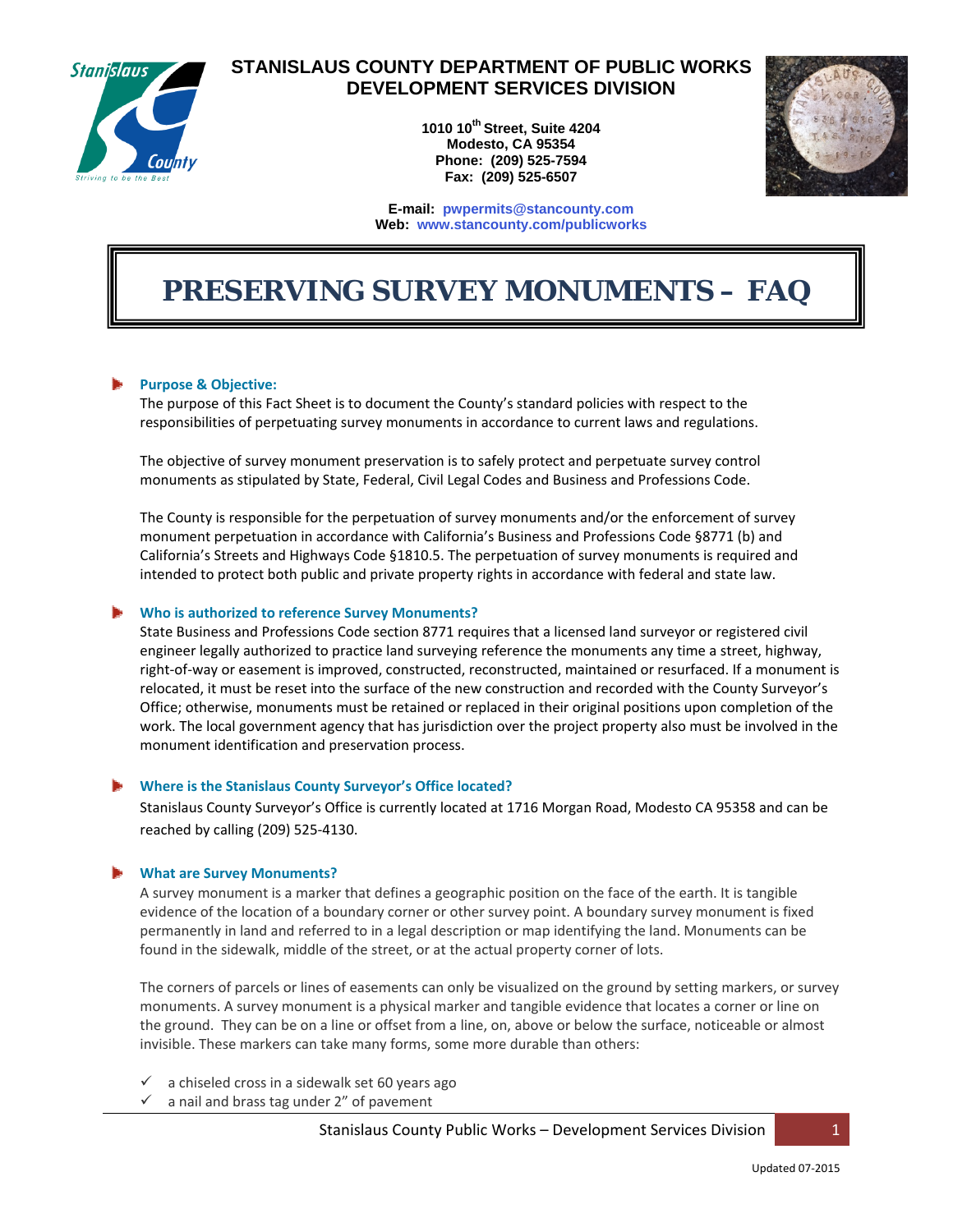

# **STANISLAUS COUNTY DEPARTMENT OF PUBLIC WORKS DEVELOPMENT SERVICES DIVISION**

**1010 10th Street, Suite 4204 Modesto, CA 95354 Phone: (209) 525-7594 Fax: (209) 525-6507** 



#### **E-mail: pwpermits@stancounty.com Web: www.stancounty.com/publicworks**

# *PRESERVING SURVEY MONUMENTS – FAQ*

#### **Purpose & Objective:**

The purpose of this Fact Sheet is to document the County's standard policies with respect to the responsibilities of perpetuating survey monuments in accordance to current laws and regulations.

The objective of survey monument preservation is to safely protect and perpetuate survey control monuments as stipulated by State, Federal, Civil Legal Codes and Business and Professions Code.

The County is responsible for the perpetuation of survey monuments and/or the enforcement of survey monument perpetuation in accordance with California's Business and Professions Code §8771 (b) and California's Streets and Highways Code §1810.5. The perpetuation of survey monuments is required and intended to protect both public and private property rights in accordance with federal and state law.

#### **Who is authorized to reference Survey Monuments?**

State Business and Professions Code section 8771 requires that a licensed land surveyor or registered civil engineer legally authorized to practice land surveying reference the monuments any time a street, highway, right‐of‐way or easement is improved, constructed, reconstructed, maintained or resurfaced. If a monument is relocated, it must be reset into the surface of the new construction and recorded with the County Surveyor's Office; otherwise, monuments must be retained or replaced in their original positions upon completion of the work. The local government agency that has jurisdiction over the project property also must be involved in the monument identification and preservation process.

#### **Where is the Stanislaus County Surveyor's Office located?**

Stanislaus County Surveyor's Office is currently located at 1716 Morgan Road, Modesto CA 95358 and can be reached by calling (209) 525‐4130.

#### **What are Survey Monuments?**

A survey monument is a marker that defines a geographic position on the face of the earth. It is tangible evidence of the location of a boundary corner or other survey point. A boundary survey monument is fixed permanently in land and referred to in a legal description or map identifying the land. Monuments can be found in the sidewalk, middle of the street, or at the actual property corner of lots.

The corners of parcels or lines of easements can only be visualized on the ground by setting markers, or survey monuments. A survey monument is a physical marker and tangible evidence that locates a corner or line on the ground. They can be on a line or offset from a line, on, above or below the surface, noticeable or almost invisible. These markers can take many forms, some more durable than others:

- a chiseled cross in a sidewalk set 60 years ago
- a nail and brass tag under 2" of pavement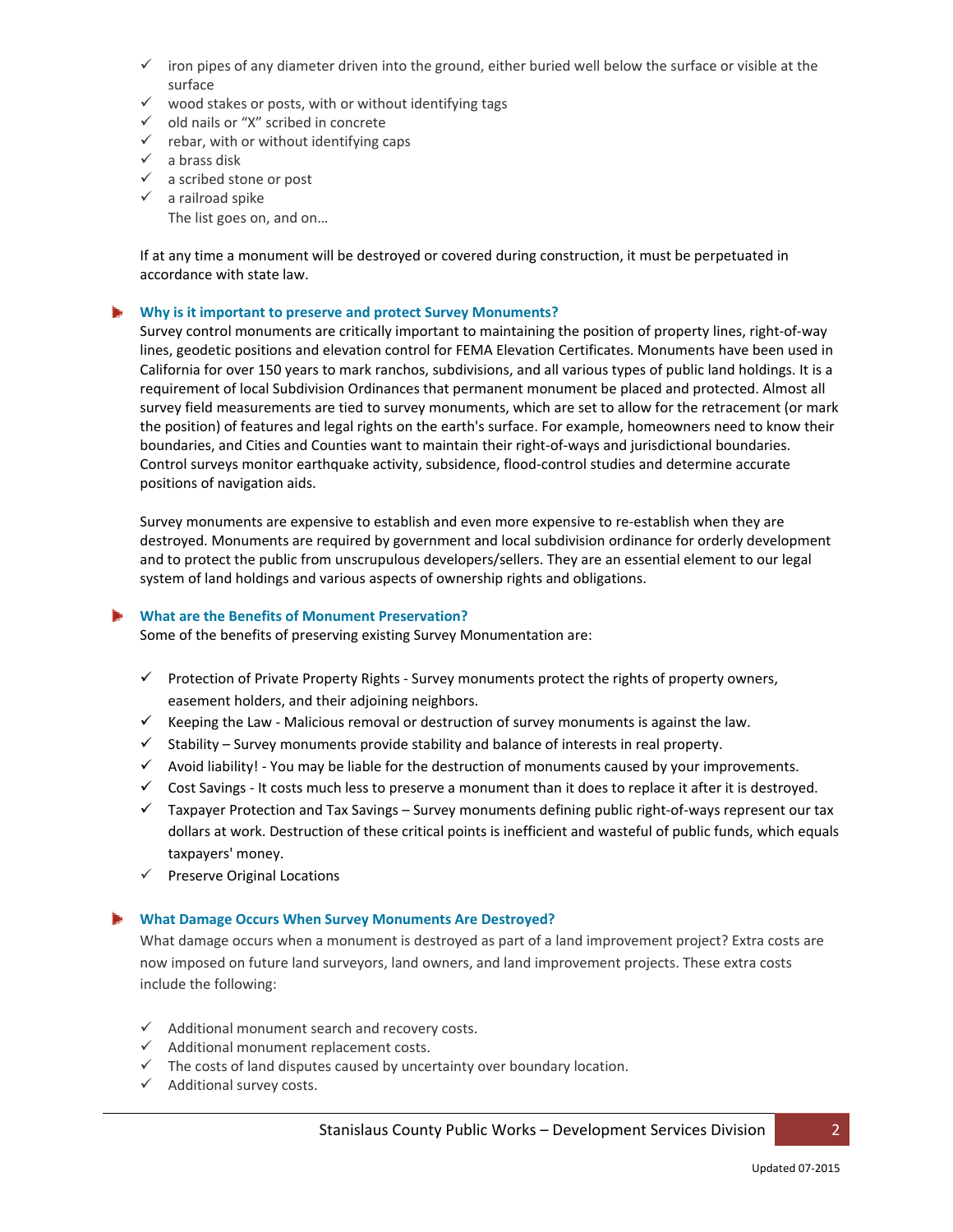- $\checkmark$  iron pipes of any diameter driven into the ground, either buried well below the surface or visible at the surface
- $\checkmark$  wood stakes or posts, with or without identifying tags
- $\checkmark$  old nails or "X" scribed in concrete
- $\checkmark$  rebar, with or without identifying caps
- $\checkmark$  a brass disk
- $\checkmark$  a scribed stone or post
- $\checkmark$  a railroad spike

The list goes on, and on…

If at any time a monument will be destroyed or covered during construction, it must be perpetuated in accordance with state law.

#### **Why is it important to preserve and protect Survey Monuments?**

Survey control monuments are critically important to maintaining the position of property lines, right‐of‐way lines, geodetic positions and elevation control for FEMA Elevation Certificates. Monuments have been used in California for over 150 years to mark ranchos, subdivisions, and all various types of public land holdings. It is a requirement of local Subdivision Ordinances that permanent monument be placed and protected. Almost all survey field measurements are tied to survey monuments, which are set to allow for the retracement (or mark the position) of features and legal rights on the earth's surface. For example, homeowners need to know their boundaries, and Cities and Counties want to maintain their right‐of‐ways and jurisdictional boundaries. Control surveys monitor earthquake activity, subsidence, flood‐control studies and determine accurate positions of navigation aids.

Survey monuments are expensive to establish and even more expensive to re‐establish when they are destroyed. Monuments are required by government and local subdivision ordinance for orderly development and to protect the public from unscrupulous developers/sellers. They are an essential element to our legal system of land holdings and various aspects of ownership rights and obligations.

#### **What are the Benefits of Monument Preservation?**

Some of the benefits of preserving existing Survey Monumentation are:

- $\checkmark$  Protection of Private Property Rights Survey monuments protect the rights of property owners, easement holders, and their adjoining neighbors.
- $\checkmark$  Keeping the Law Malicious removal or destruction of survey monuments is against the law.
- $\checkmark$  Stability Survey monuments provide stability and balance of interests in real property.
- $\checkmark$  Avoid liability! You may be liable for the destruction of monuments caused by your improvements.
- $\checkmark$  Cost Savings It costs much less to preserve a monument than it does to replace it after it is destroyed.
- Taxpayer Protection and Tax Savings Survey monuments defining public right‐of‐ways represent our tax dollars at work. Destruction of these critical points is inefficient and wasteful of public funds, which equals taxpayers' money.
- $\checkmark$  Preserve Original Locations

#### **What Damage Occurs When Survey Monuments Are Destroyed?**

What damage occurs when a monument is destroyed as part of a land improvement project? Extra costs are now imposed on future land surveyors, land owners, and land improvement projects. These extra costs include the following:

- $\checkmark$  Additional monument search and recovery costs.
- $\checkmark$  Additional monument replacement costs.
- $\checkmark$  The costs of land disputes caused by uncertainty over boundary location.
- $\checkmark$  Additional survey costs.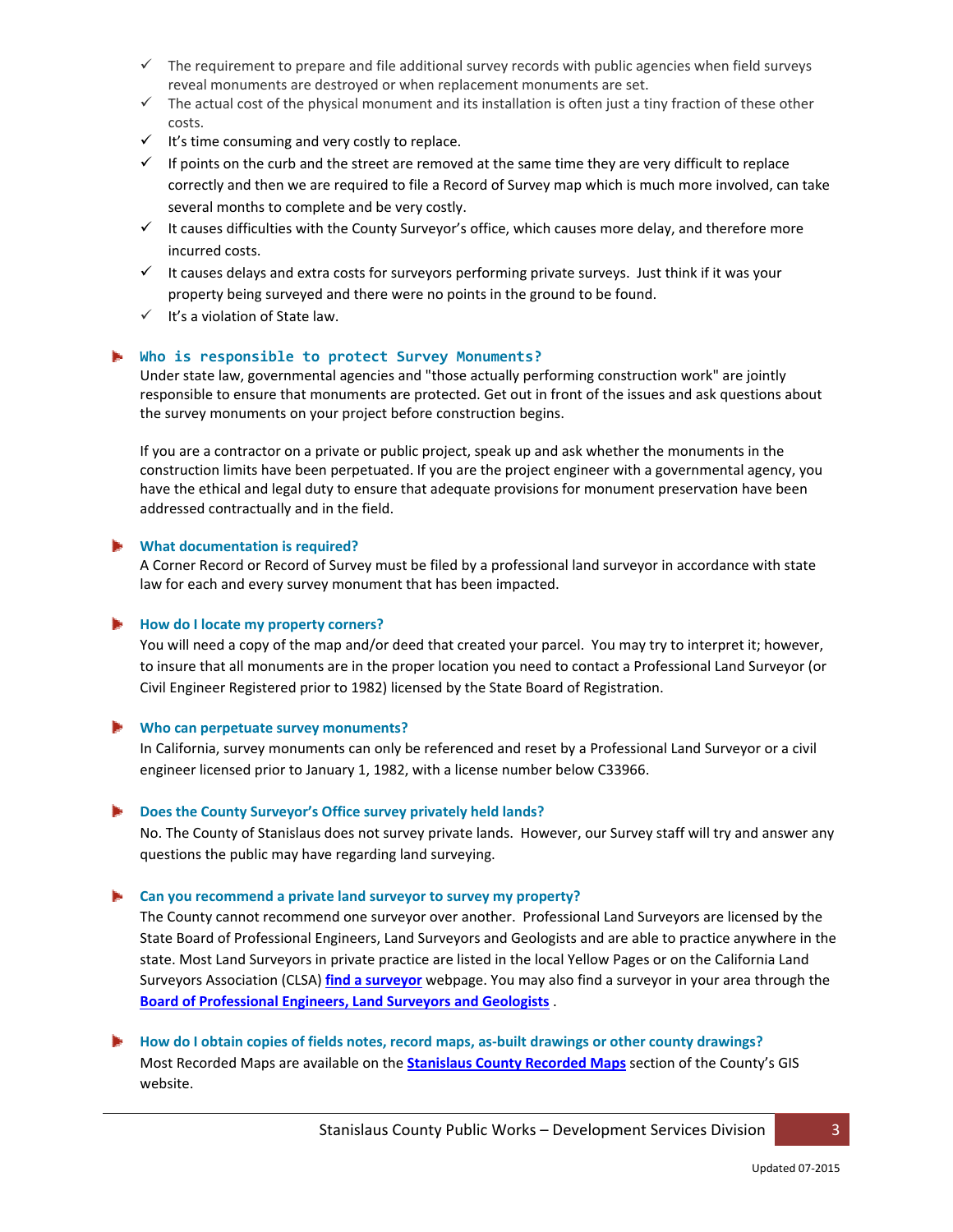- $\checkmark$  The requirement to prepare and file additional survey records with public agencies when field surveys reveal monuments are destroyed or when replacement monuments are set.
- $\checkmark$  The actual cost of the physical monument and its installation is often just a tiny fraction of these other costs.
- $\checkmark$  It's time consuming and very costly to replace.
- $\checkmark$  If points on the curb and the street are removed at the same time they are very difficult to replace correctly and then we are required to file a Record of Survey map which is much more involved, can take several months to complete and be very costly.
- $\checkmark$  It causes difficulties with the County Surveyor's office, which causes more delay, and therefore more incurred costs.
- $\checkmark$  It causes delays and extra costs for surveyors performing private surveys. Just think if it was your property being surveyed and there were no points in the ground to be found.
- $\checkmark$  It's a violation of State law.

## **Who is responsible to protect Survey Monuments?**

Under state law, governmental agencies and "those actually performing construction work" are jointly responsible to ensure that monuments are protected. Get out in front of the issues and ask questions about the survey monuments on your project before construction begins.

If you are a contractor on a private or public project, speak up and ask whether the monuments in the construction limits have been perpetuated. If you are the project engineer with a governmental agency, you have the ethical and legal duty to ensure that adequate provisions for monument preservation have been addressed contractually and in the field.

#### **What documentation is required?**

A Corner Record or Record of Survey must be filed by a professional land surveyor in accordance with state law for each and every survey monument that has been impacted.

#### **How do I locate my property corners?**

You will need a copy of the map and/or deed that created your parcel. You may try to interpret it; however, to insure that all monuments are in the proper location you need to contact a Professional Land Surveyor (or Civil Engineer Registered prior to 1982) licensed by the State Board of Registration.

#### **Who can perpetuate survey monuments?**

In California, survey monuments can only be referenced and reset by a Professional Land Surveyor or a civil engineer licensed prior to January 1, 1982, with a license number below C33966.

#### **Does the County Surveyor's Office survey privately held lands?**

No. The County of Stanislaus does not survey private lands. However, our Survey staff will try and answer any questions the public may have regarding land surveying.

#### **Can you recommend a private land surveyor to survey my property?**

The County cannot recommend one surveyor over another. Professional Land Surveyors are licensed by the State Board of Professional Engineers, Land Surveyors and Geologists and are able to practice anywhere in the state. Most Land Surveyors in private practice are listed in the local Yellow Pages or on the California Land Surveyors Association (CLSA) **find a surveyor** webpage. You may also find a surveyor in your area through the **Board of Professional Engineers, Land Surveyors and Geologists** .

# **How do I obtain copies of fields notes, record maps, as‐built drawings or other county drawings?** Most Recorded Maps are available on the **Stanislaus County Recorded Maps** section of the County's GIS website.